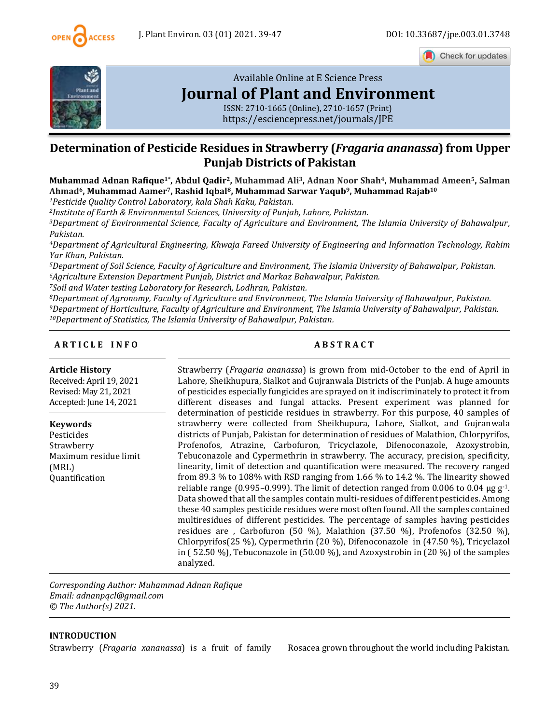

Check for updates



# [Available Online at E](https://esciencepress.net/journals/JPE) Science Press **[Journal of Plant and Environment](https://esciencepress.net/journals/JPE)**

ISSN: 2710-1665 (Online), 2710-1657 (Print) <https://esciencepress.net/journals/JPE>

# **Determination of Pesticide Residues in Strawberry (***Fragaria ananassa***) from Upper Punjab Districts of Pakistan**

**Muhammad Adnan Rafique1\* , Abdul Qadir2, Muhammad Ali3, Adnan Noor Shah4, Muhammad Ameen5, Salman Ahmad6, Muhammad Aamer7, Rashid Iqbal8, Muhammad Sarwar Yaqub9, Muhammad Rajab<sup>10</sup>**

*<sup>1</sup>Pesticide Quality Control Laboratory, kala Shah Kaku, Pakistan.*

*<sup>2</sup>Institute of Earth & Environmental Sciences, University of Punjab, Lahore, Pakistan.*

*<sup>3</sup>Department of Environmental Science, Faculty of Agriculture and Environment, The Islamia University of Bahawalpur, Pakistan.* 

*<sup>4</sup>Department of Agricultural Engineering, Khwaja Fareed University of Engineering and Information Technology, Rahim Yar Khan, Pakistan.*

*<sup>5</sup>Department of Soil Science, Faculty of Agriculture and Environment, The Islamia University of Bahawalpur, Pakistan. <sup>6</sup>Agriculture Extension Department Punjab, District and Markaz Bahawalpur, Pakistan.*

*<sup>7</sup>Soil and Water testing Laboratory for Research, Lodhran, Pakistan.*

*<sup>8</sup>Department of Agronomy, Faculty of Agriculture and Environment, The Islamia University of Bahawalpur, Pakistan. <sup>9</sup>Department of Horticulture, Faculty of Agriculture and Environment, The Islamia University of Bahawalpur, Pakistan. <sup>10</sup>Department of Statistics, The Islamia University of Bahawalpur, Pakistan.*

# **A R T I C L E I N F O A B S T R A C T**

**Article History** Received: April 19, 2021 Revised: May 21, 2021 Accepted: June 14, 2021

**Keywords** Pesticides Strawberry Maximum residue limit (MRL) Quantification

Strawberry (*Fragaria ananassa*) is grown from mid-October to the end of April in Lahore, Sheikhupura, Sialkot and Gujranwala Districts of the Punjab. A huge amounts of pesticides especially fungicides are sprayed on it indiscriminately to protect it from different diseases and fungal attacks. Present experiment was planned for determination of pesticide residues in strawberry. For this purpose, 40 samples of strawberry were collected from Sheikhupura, Lahore, Sialkot, and Gujranwala districts of Punjab, Pakistan for determination of residues of Malathion, Chlorpyrifos, Profenofos, Atrazine, Carbofuron, Tricyclazole, Difenoconazole, Azoxystrobin, Tebuconazole and Cypermethrin in strawberry. The accuracy, precision, specificity, linearity, limit of detection and quantification were measured. The recovery ranged from 89.3 % to 108% with RSD ranging from 1.66 % to 14.2 %. The linearity showed reliable range (0.995–0.999). The limit of detection ranged from 0.006 to 0.04  $\mu$ g g<sup>-1</sup>. Data showed that all the samples contain multi-residues of different pesticides. Among these 40 samples pesticide residues were most often found. All the samples contained multiresidues of different pesticides. The percentage of samples having pesticides residues are , Carbofuron (50 %), Malathion (37.50 %), Profenofos (32.50 %), Chlorpyrifos(25 %), Cypermethrin (20 %), Difenoconazole in (47.50 %), Tricyclazol in (52.50 %), Tebuconazole in (50.00 %), and Azoxystrobin in (20 %) of the samples analyzed.

*Corresponding Author: Muhammad Adnan Rafique Email: adnanpqcl@gmail.com © The Author(s) 2021.*

# **INTRODUCTION**

Strawberry (*Fragaria xananassa*) is a fruit of family Rosacea grown throughout the world including Pakistan.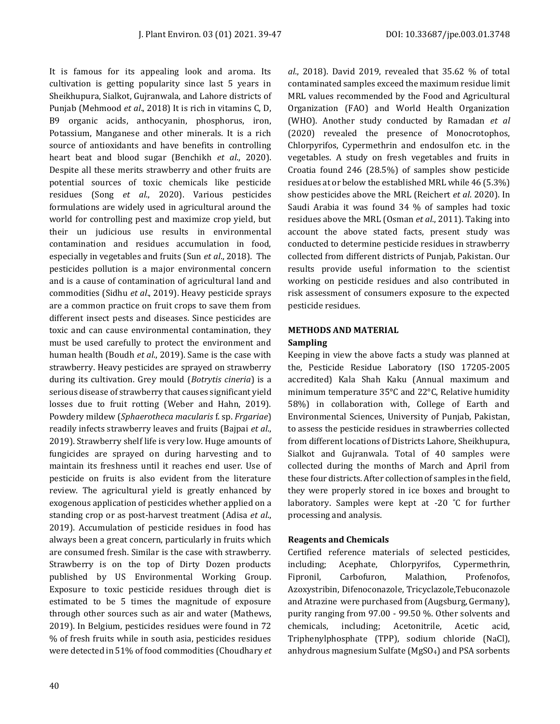It is famous for its appealing look and aroma. Its cultivation is getting popularity since last 5 years in Sheikhupura, Sialkot, Gujranwala, and Lahore districts of Punjab (Mehmood *et al*., 2018) It is rich in vitamins C, D, B9 organic acids, anthocyanin, phosphorus, iron, Potassium, Manganese and other minerals. It is a rich source of antioxidants and have benefits in controlling heart beat and blood sugar (Benchikh *et al*., 2020). Despite all these merits strawberry and other fruits are potential sources of toxic chemicals like pesticide residues (Song *et al*., 2020). Various pesticides formulations are widely used in agricultural around the world for controlling pest and maximize crop yield, but their un judicious use results in environmental contamination and residues accumulation in food, especially in vegetables and fruits (Sun *et al*., 2018). The pesticides pollution is a major environmental concern and is a cause of contamination of agricultural land and commodities (Sidhu *et al*., 2019). Heavy pesticide sprays are a common practice on fruit crops to save them from different insect pests and diseases. Since pesticides are toxic and can cause environmental contamination, they must be used carefully to protect the environment and human health (Boudh *et al*., 2019). Same is the case with strawberry. Heavy pesticides are sprayed on strawberry during its cultivation. Grey mould (*Botrytis cineria*) is a serious disease of strawberry that causes significant yield losses due to fruit rotting (Weber and Hahn, 2019). Powdery mildew (*Sphaerotheca macularis* f. sp. *Frgariae*) readily infects strawberry leaves and fruits (Bajpai *et al*., 2019). Strawberry shelf life is very low. Huge amounts of fungicides are sprayed on during harvesting and to maintain its freshness until it reaches end user. Use of pesticide on fruits is also evident from the literature review. The agricultural yield is greatly enhanced by exogenous application of pesticides whether applied on a standing crop or as post-harvest treatment (Adisa *et al*., 2019). Accumulation of pesticide residues in food has always been a great concern, particularly in fruits which are consumed fresh. Similar is the case with strawberry. Strawberry is on the top of Dirty Dozen products published by US Environmental Working Group. Exposure to toxic pesticide residues through diet is estimated to be 5 times the magnitude of exposure through other sources such as air and water (Mathews, 2019). In Belgium, pesticides residues were found in 72 % of fresh fruits while in south asia, pesticides residues were detected in 51% of food commodities (Choudhary *et*  *al*., 2018). David 2019, revealed that 35.62 % of total contaminated samples exceed the maximum residue limit MRL values recommended by the Food and Agricultural Organization (FAO) and World Health Organization (WHO). Another study conducted by Ramadan *et al* (2020) revealed the presence of Monocrotophos, Chlorpyrifos, Cypermethrin and endosulfon etc. in the vegetables. A study on fresh vegetables and fruits in Croatia found 246 (28.5%) of samples show pesticide residues at or below the established MRL while 46 (5.3%) show pesticides above the MRL (Reichert *et al*. 2020). In Saudi Arabia it was found 34 % of samples had toxic residues above the MRL (Osman *et al*., 2011). Taking into account the above stated facts, present study was conducted to determine pesticide residues in strawberry collected from different districts of Punjab, Pakistan. Our results provide useful information to the scientist working on pesticide residues and also contributed in risk assessment of consumers exposure to the expected pesticide residues.

# **METHODS AND MATERIAL**

## **Sampling**

Keeping in view the above facts a study was planned at the, Pesticide Residue Laboratory (ISO 17205-2005 accredited) Kala Shah Kaku (Annual maximum and minimum temperature 35°C and 22°C, Relative humidity 58%) in collaboration with, College of Earth and Environmental Sciences, University of Punjab, Pakistan, to assess the pesticide residues in strawberries collected from different locations of Districts Lahore, Sheikhupura, Sialkot and Gujranwala. Total of 40 samples were collected during the months of March and April from these four districts. After collection of samples in the field, they were properly stored in ice boxes and brought to laboratory. Samples were kept at -20 ˚C for further processing and analysis.

#### **Reagents and Chemicals**

Certified reference materials of selected pesticides, including; Acephate, Chlorpyrifos, Cypermethrin, Fipronil, Carbofuron, Malathion, Profenofos, Azoxystribin, Difenoconazole, Tricyclazole,Tebuconazole and Atrazine were purchased from (Augsburg, Germany), purity ranging from 97.00 - 99.50 %. Other solvents and chemicals, including; Acetonitrile, Acetic acid, Triphenylphosphate (TPP), sodium chloride (NaCl), anhydrous magnesium Sulfate (MgSO4) and PSA sorbents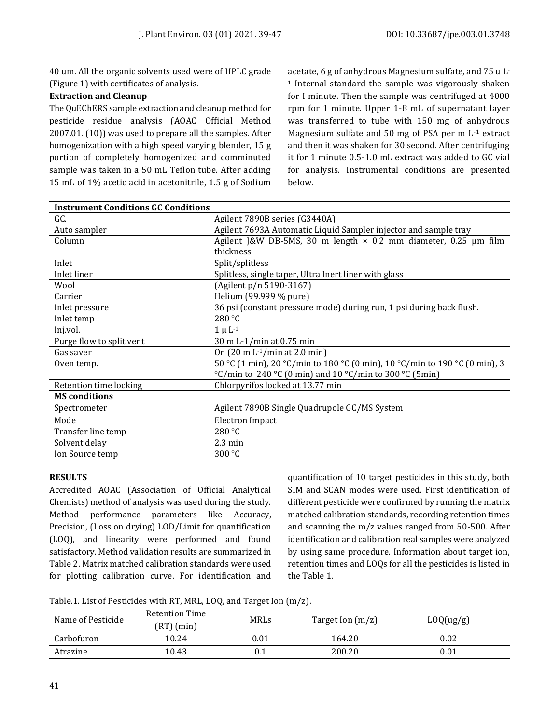40 um. All the organic solvents used were of HPLC grade (Figure 1) with certificates of analysis.

# **Extraction and Cleanup**

The QuEChERS sample extraction and cleanup method for pesticide residue analysis (AOAC Official Method 2007.01. (10)) was used to prepare all the samples. After homogenization with a high speed varying blender, 15 g portion of completely homogenized and comminuted sample was taken in a 50 mL Teflon tube. After adding 15 mL of 1% acetic acid in acetonitrile, 1.5 g of Sodium acetate, 6 g of anhydrous Magnesium sulfate, and 75 u L-<sup>1</sup> Internal standard the sample was vigorously shaken for I minute. Then the sample was centrifuged at 4000 rpm for 1 minute. Upper 1-8 mL of supernatant layer was transferred to tube with 150 mg of anhydrous Magnesium sulfate and 50 mg of PSA per m  $L^{-1}$  extract and then it was shaken for 30 second. After centrifuging it for 1 minute 0.5-1.0 mL extract was added to GC vial for analysis. Instrumental conditions are presented below.

| <b>Instrument Conditions GC Conditions</b> |                                                                            |
|--------------------------------------------|----------------------------------------------------------------------------|
| GC.                                        | Agilent 7890B series (G3440A)                                              |
| Auto sampler                               | Agilent 7693A Automatic Liquid Sampler injector and sample tray            |
| Column                                     | Agilent J&W DB-5MS, 30 m length $\times$ 0.2 mm diameter, 0.25 µm film     |
|                                            | thickness.                                                                 |
| Inlet                                      | Split/splitless                                                            |
| Inlet liner                                | Splitless, single taper, Ultra Inert liner with glass                      |
| Wool                                       | (Agilent p/n 5190-3167)                                                    |
| Carrier                                    | Helium (99.999 % pure)                                                     |
| Inlet pressure                             | 36 psi (constant pressure mode) during run, 1 psi during back flush.       |
| Inlet temp                                 | 280 °C                                                                     |
| Inj.vol.                                   | $1 \mu L^{-1}$                                                             |
| Purge flow to split vent                   | 30 m L-1/min at 0.75 min                                                   |
| Gas saver                                  | On $(20 \text{ m L}^{-1}/\text{min at } 2.0 \text{ min})$                  |
| Oven temp.                                 | 50 °C (1 min), 20 °C/min to 180 °C (0 min), 10 °C/min to 190 °C (0 min), 3 |
|                                            | °C/min to 240 °C (0 min) and 10 °C/min to 300 °C (5min)                    |
| Retention time locking                     | Chlorpyrifos locked at 13.77 min                                           |
| <b>MS</b> conditions                       |                                                                            |
| Spectrometer                               | Agilent 7890B Single Quadrupole GC/MS System                               |
| Mode                                       | <b>Electron Impact</b>                                                     |
| Transfer line temp                         | 280 °C                                                                     |
| Solvent delay                              | $2.3 \text{ min}$                                                          |
| Ion Source temp                            | 300 °C                                                                     |

## **RESULTS**

Accredited AOAC (Association of Official Analytical Chemists) method of analysis was used during the study. Method performance parameters like Accuracy, Precision, (Loss on drying) LOD/Limit for quantification (LOQ), and linearity were performed and found satisfactory. Method validation results are summarized in Table 2. Matrix matched calibration standards were used for plotting calibration curve. For identification and

quantification of 10 target pesticides in this study, both SIM and SCAN modes were used. First identification of different pesticide were confirmed by running the matrix matched calibration standards, recording retention times and scanning the m/z values ranged from 50-500. After identification and calibration real samples were analyzed by using same procedure. Information about target ion, retention times and LOQs for all the pesticides is listed in the Table 1.

Table.1. List of Pesticides with RT, MRL, LOQ, and Target Ion (m/z).

| Name of Pesticide | Retention Time<br>$(RT)$ (min) | <b>MRLs</b> | Target Ion $(m/z)$ | L OQ(ug/g) |
|-------------------|--------------------------------|-------------|--------------------|------------|
| Carbofuron        | 10.24                          | 0.01        | 164.20             | 0.02       |
| Atrazine          | 10.43                          | $\rm 0.1$   | 200.20             | $0.01\,$   |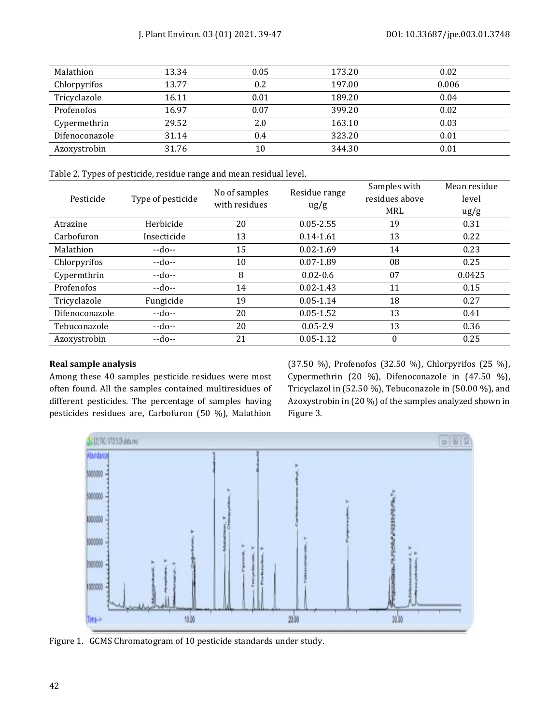| Malathion      | 13.34 | 0.05 | 173.20 | 0.02  |
|----------------|-------|------|--------|-------|
| Chlorpyrifos   | 13.77 | 0.2  | 197.00 | 0.006 |
| Tricyclazole   | 16.11 | 0.01 | 189.20 | 0.04  |
| Profenofos     | 16.97 | 0.07 | 399.20 | 0.02  |
| Cypermethrin   | 29.52 | 2.0  | 163.10 | 0.03  |
| Difenoconazole | 31.14 | 0.4  | 323.20 | 0.01  |
| Azoxystrobin   | 31.76 | 10   | 344.30 | 0.01  |

Table 2. Types of pesticide, residue range and mean residual level.

| Pesticide      | Type of pesticide | No of samples<br>with residues | Residue range<br>$\frac{u}{g}$ | Samples with<br>residues above<br><b>MRL</b> | Mean residue<br>level<br>$\frac{u}{g}$ |
|----------------|-------------------|--------------------------------|--------------------------------|----------------------------------------------|----------------------------------------|
| Atrazine       | Herbicide         | 20                             | $0.05 - 2.55$                  | 19                                           | 0.31                                   |
| Carbofuron     | Insecticide       | 13                             | $0.14 - 1.61$                  | 13                                           | 0.22                                   |
| Malathion      | $-d0-$            | 15                             | $0.02 - 1.69$                  | 14                                           | 0.23                                   |
| Chlorpyrifos   | $-do-$            | 10                             | $0.07 - 1.89$                  | 08                                           | 0.25                                   |
| Cypermthrin    | $-do-$            | 8                              | $0.02 - 0.6$                   | 07                                           | 0.0425                                 |
| Profenofos     | $-d0-$            | 14                             | $0.02 - 1.43$                  | 11                                           | 0.15                                   |
| Tricyclazole   | Fungicide         | 19                             | $0.05 - 1.14$                  | 18                                           | 0.27                                   |
| Difenoconazole | $-do-$            | 20                             | $0.05 - 1.52$                  | 13                                           | 0.41                                   |
| Tebuconazole   | $-do-$            | 20                             | $0.05 - 2.9$                   | 13                                           | 0.36                                   |
| Azoxystrobin   | $-d0-$            | 21                             | $0.05 - 1.12$                  | $\theta$                                     | 0.25                                   |

## **Real sample analysis**

Among these 40 samples pesticide residues were most often found. All the samples contained multiresidues of different pesticides. The percentage of samples having pesticides residues are, Carbofuron (50 %), Malathion

(37.50 %), Profenofos (32.50 %), Chlorpyrifos (25 %), Cypermethrin (20 %), Difenoconazole in (47.50 %), Tricyclazol in (52.50 %), Tebuconazole in (50.00 %), and Azoxystrobin in (20 %) of the samples analyzed shown in Figure 3.



Figure 1. GCMS Chromatogram of 10 pesticide standards under study.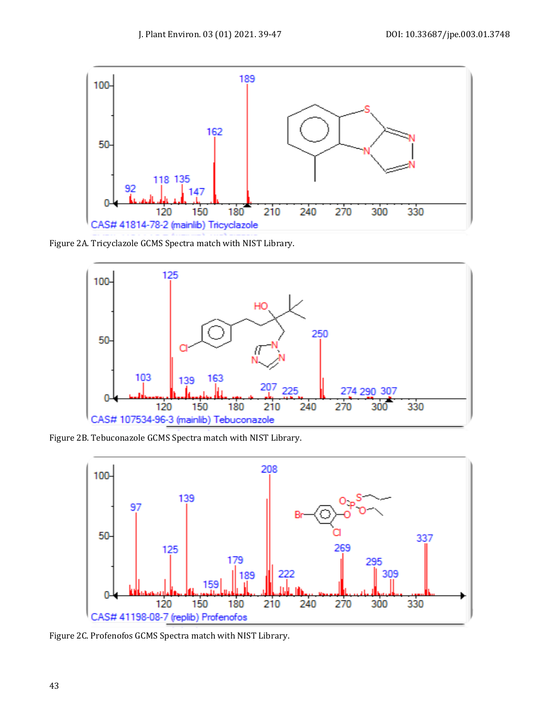

Figure 2A. Tricyclazole GCMS Spectra match with NIST Library.



Figure 2B. Tebuconazole GCMS Spectra match with NIST Library.



Figure 2C. Profenofos GCMS Spectra match with NIST Library.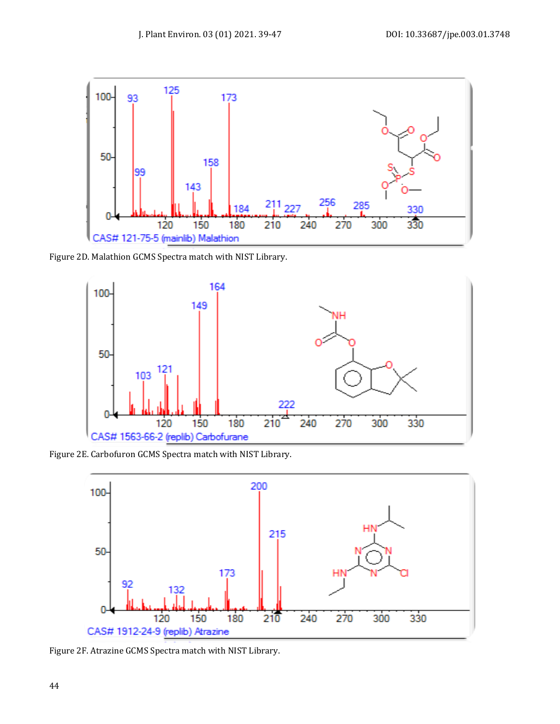

Figure 2D. Malathion GCMS Spectra match with NIST Library.



Figure 2E. Carbofuron GCMS Spectra match with NIST Library.



Figure 2F. Atrazine GCMS Spectra match with NIST Library.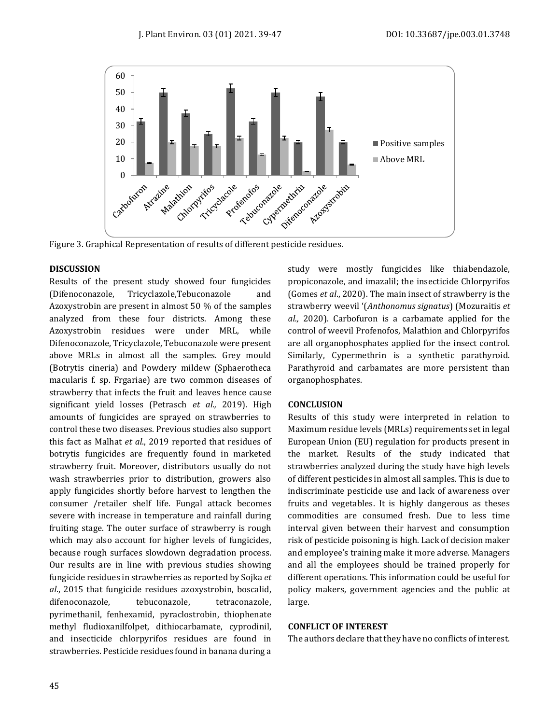

Figure 3. Graphical Representation of results of different pesticide residues.

#### **DISCUSSION**

Results of the present study showed four fungicides (Difenoconazole, Tricyclazole,Tebuconazole and Azoxystrobin are present in almost 50 % of the samples analyzed from these four districts. Among these Azoxystrobin residues were under MRL, while Difenoconazole, Tricyclazole, Tebuconazole were present above MRLs in almost all the samples. Grey mould (Botrytis cineria) and Powdery mildew (Sphaerotheca macularis f. sp. Frgariae) are two common diseases of strawberry that infects the fruit and leaves hence cause significant yield losses (Petrasch *et al.,* 2019). High amounts of fungicides are sprayed on strawberries to control these two diseases. Previous studies also support this fact as Malhat *et al*., 2019 reported that residues of botrytis fungicides are frequently found in marketed strawberry fruit. Moreover, distributors usually do not wash strawberries prior to distribution, growers also apply fungicides shortly before harvest to lengthen the consumer /retailer shelf life. Fungal attack becomes severe with increase in temperature and rainfall during fruiting stage. The outer surface of strawberry is rough which may also account for higher levels of fungicides, because rough surfaces slowdown degradation process. Our results are in line with previous studies showing fungicide residues in strawberries as reported by Sojka *et al*., 2015 that fungicide residues azoxystrobin, boscalid, difenoconazole, tebuconazole, tetraconazole, pyrimethanil, fenhexamid, pyraclostrobin, thiophenate methyl fludioxanilfolpet, dithiocarbamate, cyprodinil, and insecticide chlorpyrifos residues are found in strawberries. Pesticide residues found in banana during a

study were mostly fungicides like thiabendazole, propiconazole, and imazalil; the insecticide Chlorpyrifos (Gomes *et al*., 2020). The main insect of strawberry is the strawberry weevil '(*Anthonomus signatus*) (Mozuraitis *et al.,* 2020). Carbofuron is a carbamate applied for the control of weevil Profenofos, Malathion and Chlorpyrifos are all organophosphates applied for the insect control. Similarly, Cypermethrin is a synthetic parathyroid. Parathyroid and carbamates are more persistent than organophosphates.

#### **CONCLUSION**

Results of this study were interpreted in relation to Maximum residue levels (MRLs) requirements set in legal European Union (EU) regulation for products present in the market. Results of the study indicated that strawberries analyzed during the study have high levels of different pesticides in almost all samples. This is due to indiscriminate pesticide use and lack of awareness over fruits and vegetables. It is highly dangerous as theses commodities are consumed fresh. Due to less time interval given between their harvest and consumption risk of pesticide poisoning is high. Lack of decision maker and employee's training make it more adverse. Managers and all the employees should be trained properly for different operations. This information could be useful for policy makers, government agencies and the public at large.

### **CONFLICT OF INTEREST**

The authors declare that they have no conflicts of interest.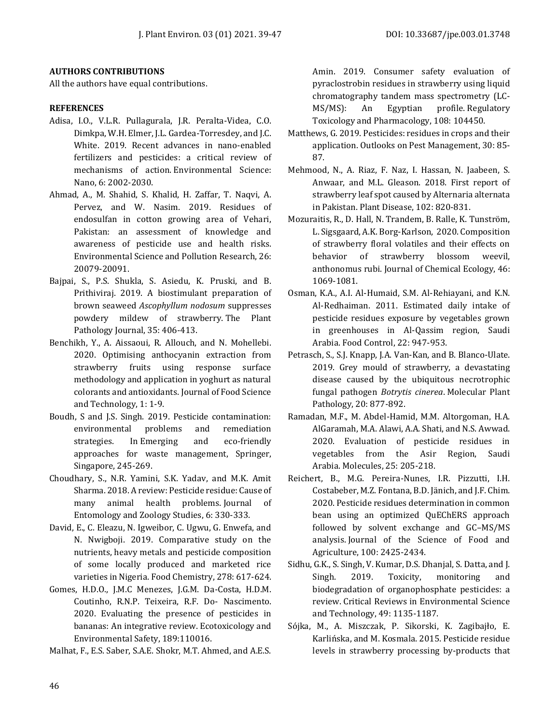### **AUTHORS CONTRIBUTIONS**

All the authors have equal contributions.

#### **REFERENCES**

- Adisa, I.O., V.L.R. Pullagurala, J.R. Peralta-Videa, C.O. Dimkpa, W.H. Elmer, J.L. Gardea-Torresdey, and J.C. White. 2019. Recent advances in nano-enabled fertilizers and pesticides: a critical review of mechanisms of action. Environmental Science: Nano, 6: 2002-2030.
- Ahmad, A., M. Shahid, S. Khalid, H. Zaffar, T. Naqvi, A. Pervez, and W. Nasim. 2019. Residues of endosulfan in cotton growing area of Vehari, Pakistan: an assessment of knowledge and awareness of pesticide use and health risks. Environmental Science and Pollution Research, 26: 20079-20091.
- Bajpai, S., P.S. Shukla, S. Asiedu, K. Pruski, and B. Prithiviraj. 2019. A biostimulant preparation of brown seaweed *Ascophyllum nodosum* suppresses powdery mildew of strawberry. The Plant Pathology Journal, 35: 406-413.
- Benchikh, Y., A. Aissaoui, R. Allouch, and N. Mohellebi. 2020. Optimising anthocyanin extraction from strawberry fruits using response surface methodology and application in yoghurt as natural colorants and antioxidants. Journal of Food Science and Technology, 1: 1-9.
- Boudh, S and J.S. Singh. 2019. Pesticide contamination: environmental problems and remediation strategies. In Emerging and eco-friendly approaches for waste management, Springer, Singapore, 245-269.
- Choudhary, S., N.R. Yamini, S.K. Yadav, and M.K. Amit Sharma. 2018. A review: Pesticide residue: Cause of many animal health problems. Journal of Entomology and Zoology Studies, 6: 330-333.
- David, E., C. Eleazu, N. Igweibor, C. Ugwu, G. Enwefa, and N. Nwigboji. 2019. Comparative study on the nutrients, heavy metals and pesticide composition of some locally produced and marketed rice varieties in Nigeria. Food Chemistry, 278: 617-624.
- Gomes, H.D.O., J.M.C Menezes, J.G.M. Da-Costa, H.D.M. Coutinho, R.N.P. Teixeira, R.F. Do- Nascimento. 2020. Evaluating the presence of pesticides in bananas: An integrative review. Ecotoxicology and Environmental Safety, 189:110016.

Malhat, F., E.S. Saber, S.A.E. Shokr, M.T. Ahmed, and A.E.S.

Amin. 2019. Consumer safety evaluation of pyraclostrobin residues in strawberry using liquid chromatography tandem mass spectrometry (LC-MS/MS): An Egyptian profile. Regulatory Toxicology and Pharmacology, 108: 104450.

- Matthews, G. 2019. Pesticides: residues in crops and their application. Outlooks on Pest Management, 30: 85- 87.
- Mehmood, N., A. Riaz, F. Naz, I. Hassan, N. Jaabeen, S. Anwaar, and M.L. Gleason. 2018. First report of strawberry leaf spot caused by Alternaria alternata in Pakistan. Plant Disease, 102: 820-831.
- Mozuraitis, R., D. Hall, N. Trandem, B. Ralle, K. Tunström, L. Sigsgaard, A.K. Borg-Karlson, 2020. Composition of strawberry floral volatiles and their effects on behavior of strawberry blossom weevil, anthonomus rubi. Journal of Chemical Ecology, 46: 1069-1081.
- Osman, K.A., A.I. Al-Humaid, S.M. Al-Rehiayani, and K.N. Al-Redhaiman. 2011. Estimated daily intake of pesticide residues exposure by vegetables grown in greenhouses in Al-Qassim region, Saudi Arabia. Food Control, 22: 947-953.
- Petrasch, S., S.J. Knapp, J.A. Van-Kan, and B. Blanco‐Ulate. 2019. Grey mould of strawberry, a devastating disease caused by the ubiquitous necrotrophic fungal pathogen *Botrytis cinerea*. Molecular Plant Pathology, 20: 877-892.
- Ramadan, M.F., M. Abdel-Hamid, M.M. Altorgoman, H.A. AlGaramah, M.A. Alawi, A.A. Shati, and N.S. Awwad. 2020. Evaluation of pesticide residues in vegetables from the Asir Region, Saudi Arabia. Molecules, 25: 205-218.
- Reichert, B., M.G. Pereira-Nunes, I.R. Pizzutti, I.H. Costabeber, M.Z. Fontana, B.D. Jänich, and J.F. Chim. 2020. Pesticide residues determination in common bean using an optimized QuEChERS approach followed by solvent exchange and GC–MS/MS analysis. Journal of the Science of Food and Agriculture, 100: 2425-2434.
- Sidhu, G.K., S. Singh, V. Kumar, D.S. Dhanjal, S. Datta, and J. Singh. 2019. Toxicity, monitoring and biodegradation of organophosphate pesticides: a review. Critical Reviews in Environmental Science and Technology, 49: 1135-1187.
- Sójka, M., A. Miszczak, P. Sikorski, K. Zagibajło, E. Karlińska, and M. Kosmala. 2015. Pesticide residue levels in strawberry processing by-products that